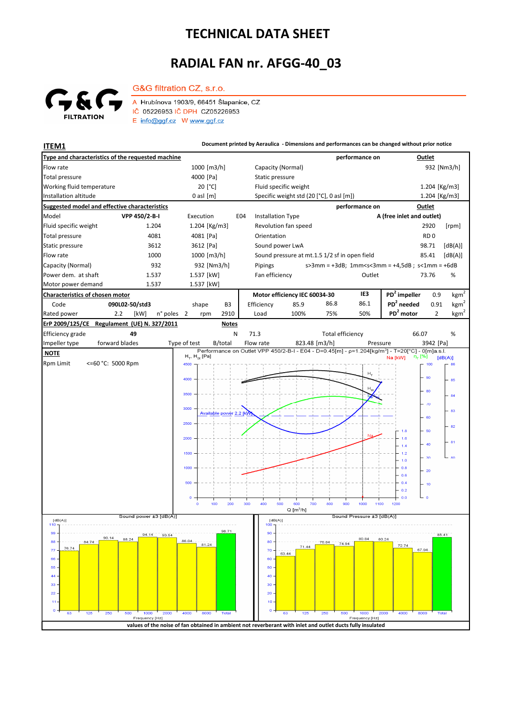## **TECHNICAL DATA SHEET**

## **RADIAL FAN nr. AFGG-40\_03**



 **NOTE**

G&G filtration CZ, s.r.o.

A Hrubínova 1903/9, 66451 Šlapanice, CZ IČ 05226953 IČ DPH CZ05226953  $E$  info@ggf.cz W www.ggf.cz

**ITEM1 Document printed by Aeraulica** - Dimensions and performances can be changed without prior notice **Type and characteristics of the requested machine performance on Outlet** Flow rate 1000 [m3/h] Capacity (Normal) 1000 [m3/h] 932 [Nm3/h] [Pa] Static pressure Total pressure Working fluid temperature [°C] Fluid specific weight 1.204 [Kg/m3] Installation altitude 0 asl [m] Specific weight std (20 [°C], 0 asl [m]) Specific weight std (20 [°C], 0 asl [m]) 1.204 [Kg/m3] **Suggested model and effective characteristics performance on Outlet** Model **VPP 450/2-B-I** Execution E04 Installation Type **A (free inlet and outlet)** Fluid specific weight 1.204 1.204 [Kg/m3] Revolution fan speed 2920 [rpm] Total pressure  $4081$  4081 [Pa] Orientation **RD** 0 Static pressure 3612 3612 [Pa] Sound power LwA 98.71 [dB(A)] Flow rate 1000 1000 [m3/h] Sound pressure at mt.1.5 1/2 sf in open field 85.41 [dB(A)] Capacity (Normal) 932 932 [Nm3/h] s>3mm = +3dB; 1mm<s<3mm = +4,5dB ; s<1mm = +6dB Pipings Power dem. at shaft 1.537 1.537 [kW] Fan efficiency Cutlet 73.76 % 73.76 Motor power demand 1.537 1.537 [kW] **Characteristics of chosen motor Motor efficiency IEC 60034-30 IE3 PD<sup>2</sup> impeller** 0.9  $kgm<sup>2</sup>$ Code **090L02-50/std3 PD<sup>2</sup> needed** 0.91 shape B3 Efficiency 85.9 86.8 86.1 kgm<sup>2</sup> n° poles 2 rpm 2910 Load 100% 75% 50% PD<sup>2</sup> motor 2 kgm<sup>2</sup> Rated power 2.2 [kW] 2 2910 Load 100% 75% 50% **PD<sup>2</sup> ErP 2009/125/CE Regulament (UE) N. 327/2011 Notes** 66.07 Efficiency grade **49** N 71.3 Total efficiency 66.07 % Impeller type forward blades Type of test B/total Flow rate 823.48 [m3/h] Pressure 3942 [Pa] forward blades  $H_T$ ,  $H_{St}$  [Pa]  $[dB(A)]$ Rpm Limit <=60 °C: 5000 Rpm  $4500$  $100$  $H_{\text{L}}$ 90 85 80 a.  $\overline{u}$ 3000 83 Available power 2.2 [k .<br>er 2500  $\overline{3}$  $1.8$ 50